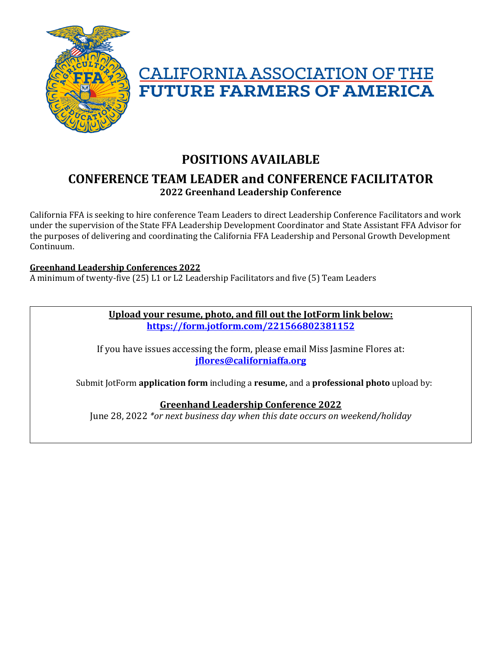



## **POSITIONS AVAILABLE CONFERENCE TEAM LEADER and CONFERENCE FACILITATOR 2022 Greenhand Leadership Conference**

California FFA is seeking to hire conference Team Leaders to direct Leadership Conference Facilitators and work under the supervision of the State FFA Leadership Development Coordinator and State Assistant FFA Advisor for the purposes of delivering and coordinating the California FFA Leadership and Personal Growth Development Continuum. 

#### **Greenhand Leadership Conferences 2022**

A minimum of twenty-five (25) L1 or L2 Leadership Facilitators and five (5) Team Leaders

**Upload your resume, photo, and fill out the JotForm link below: https://form.jotform.com/221566802381152**

If you have issues accessing the form, please email Miss Jasmine Flores at: **jflores@californiaffa.org**

Submit JotForm **application form** including a **resume**, and a **professional photo** upload by:

#### **Greenhand Leadership Conference 2022**

June 28, 2022 \*or next business day when this date occurs on weekend/holiday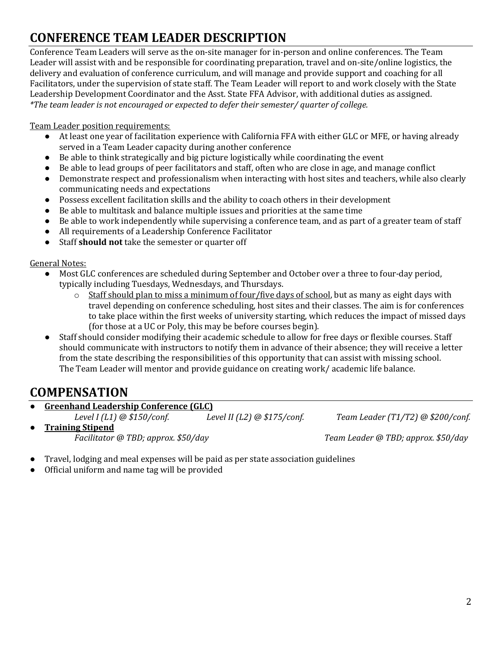# **CONFERENCE TEAM LEADER DESCRIPTION**

Conference Team Leaders will serve as the on-site manager for in-person and online conferences. The Team Leader will assist with and be responsible for coordinating preparation, travel and on-site/online logistics, the delivery and evaluation of conference curriculum, and will manage and provide support and coaching for all Facilitators, under the supervision of state staff. The Team Leader will report to and work closely with the State Leadership Development Coordinator and the Asst. State FFA Advisor, with additional duties as assigned. *\*The team leader is not encouraged or expected to defer their semester/ quarter of college.*

Team Leader position requirements:

- At least one year of facilitation experience with California FFA with either GLC or MFE, or having already served in a Team Leader capacity during another conference
- Be able to think strategically and big picture logistically while coordinating the event
- Be able to lead groups of peer facilitators and staff, often who are close in age, and manage conflict
- Demonstrate respect and professionalism when interacting with host sites and teachers, while also clearly communicating needs and expectations
- Possess excellent facilitation skills and the ability to coach others in their development
- Be able to multitask and balance multiple issues and priorities at the same time
- Be able to work independently while supervising a conference team, and as part of a greater team of staff
- All requirements of a Leadership Conference Facilitator
- Staff **should not** take the semester or quarter off

General Notes:

- Most GLC conferences are scheduled during September and October over a three to four-day period, typically including Tuesdays, Wednesdays, and Thursdays.
	- $\circ$  Staff should plan to miss a minimum of four/five days of school, but as many as eight days with travel depending on conference scheduling, host sites and their classes. The aim is for conferences to take place within the first weeks of university starting, which reduces the impact of missed days (for those at a UC or Poly, this may be before courses begin).
- Staff should consider modifying their academic schedule to allow for free days or flexible courses. Staff should communicate with instructors to notify them in advance of their absence; they will receive a letter from the state describing the responsibilities of this opportunity that can assist with missing school. The Team Leader will mentor and provide guidance on creating work/ academic life balance.

## **COMPENSATION**

**Greenhand Leadership Conference (GLC)** Level I (L1) @ \$150/conf. *Level II* (L2) @ \$175/conf. *Team Leader* (T1/T2) @ \$200/conf.

● **Training Stipend** *Facilitator @ TBD; approx. \$50/day Team Leader @ TBD; approx. \$50/day*

- Travel, lodging and meal expenses will be paid as per state association guidelines
- Official uniform and name tag will be provided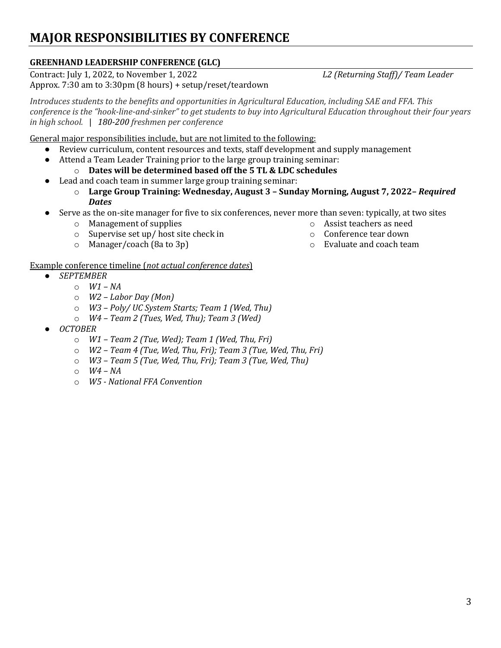# **MAJOR RESPONSIBILITIES BY CONFERENCE**

## **GREENHAND LEADERSHIP CONFERENCE (GLC)**

Contract: July 1, 2022, to November 1, 2022 *L2 (Returning Staff)/ Team Leader* Approx. 7:30 am to 3:30pm (8 hours) + setup/reset/teardown

*Introduces students to the benefits and opportunities in Agricultural Education, including SAE and FFA. This conference is the "hook-line-and-sinker" to get students to buy into Agricultural Education throughout their four years in high school.* | 180-200 freshmen per conference

General major responsibilities include, but are not limited to the following:

- Review curriculum, content resources and texts, staff development and supply management
	- Attend a Team Leader Training prior to the large group training seminar:
		- $\circ$  **Dates will be determined based off the 5 TL & LDC schedules**
- Lead and coach team in summer large group training seminar:
	- $\circ$  Large Group Training: Wednesday, August 3 Sunday Morning, August 7, 2022- *Required Dates*
	- Serve as the on-site manager for five to six conferences, never more than seven: typically, at two sites
		- $\circ$  Management of supplies
		- $\circ$  Supervise set up/ host site check in
		- $\circ$  Manager/coach (8a to 3p)
- $\circ$  Assist teachers as need o Conference tear down
- $\circ$  Evaluate and coach team

#### Example conference timeline (not actual conference dates)

- *SEPTEMBER*
	- o *W1 – NA*
	- o *W2 – Labor Day (Mon)*
	- o *W3 – Poly/ UC System Starts; Team 1 (Wed, Thu)*
	- o *W4 – Team 2 (Tues, Wed, Thu); Team 3 (Wed)*
- *OCTOBER*
	- o *W1 – Team 2 (Tue, Wed); Team 1 (Wed, Thu, Fri)*
	- o *W2 – Team 4 (Tue, Wed, Thu, Fri); Team 3 (Tue, Wed, Thu, Fri)*
	- o *W3 – Team 5 (Tue, Wed, Thu, Fri); Team 3 (Tue, Wed, Thu)*
	- o *W4 – NA*
	- o *W5 - National FFA Convention*